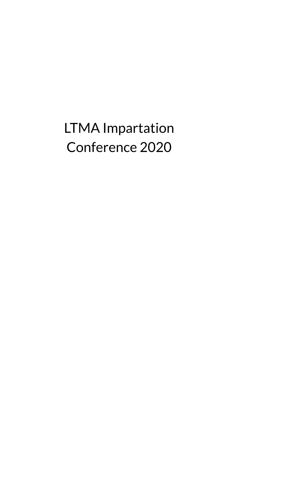LTMA Impartation Conference 2020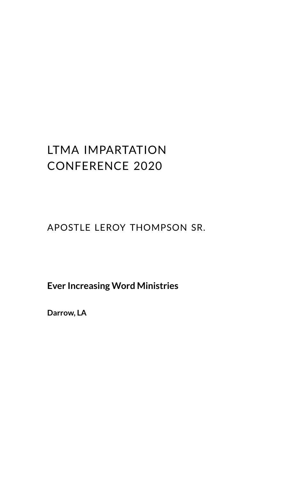# LTMA IMPARTATION CONFERENCE 2020

### APOSTLE LEROY THOMPSON SR.

### **Ever Increasing Word Ministries**

**Darrow, LA**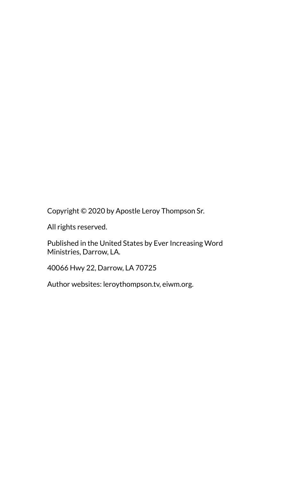Copyright © 2020 by Apostle Leroy Thompson Sr.

All rights reserved.

Published in the United States by Ever Increasing Word Ministries, Darrow, LA.

40066 Hwy 22, Darrow, LA 70725

Author websites: leroythompson.tv, eiwm.org.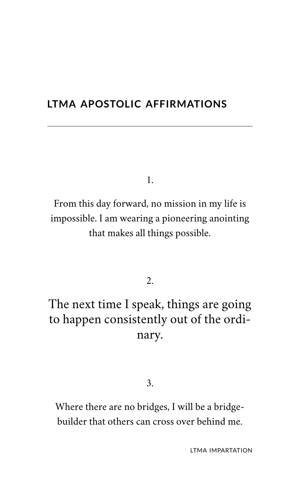### **LTMA APOSTOLIC AFFIRMATIONS**

1.

From this day forward, no mission in my life is impossible. I am wearing a pioneering anointing that makes all things possible.

2.

# The next time I speak, things are going to happen consistently out of the ordinary.

3.

Where there are no bridges, I will be a bridgebuilder that others can cross over behind me.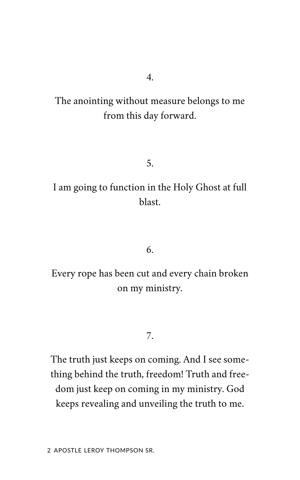The anointing without measure belongs to me from this day forward.

5.

I am going to function in the Holy Ghost at full blast.

6.

Every rope has been cut and every chain broken on my ministry.

7.

The truth just keeps on coming. And I see something behind the truth, freedom! Truth and freedom just keep on coming in my ministry. God keeps revealing and unveiling the truth to me.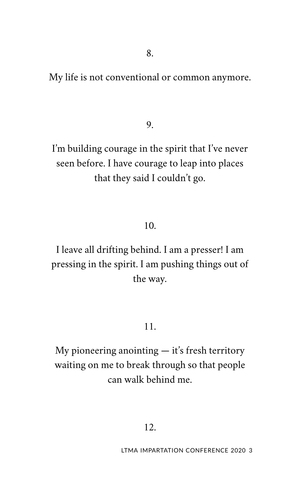My life is not conventional or common anymore.

9.

I'm building courage in the spirit that I've never seen before. I have courage to leap into places that they said I couldn't go.

#### 10.

I leave all drifting behind. I am a presser! I am pressing in the spirit. I am pushing things out of the way.

#### 11.

My pioneering anointing  $-$  it's fresh territory waiting on me to break through so that people can walk behind me.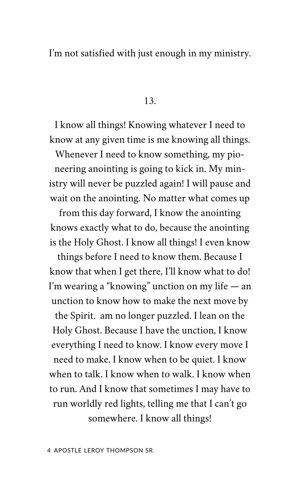I'm not satisfied with just enough in my ministry.

13.

I know all things! Knowing whatever I need to know at any given time is me knowing all things.

Whenever I need to know something, my pioneering anointing is going to kick in. My ministry will never be puzzled again! I will pause and wait on the anointing. No matter what comes up

from this day forward, I know the anointing knows exactly what to do, because the anointing is the Holy Ghost. I know all things! I even know

things before I need to know them. Because I know that when I get there, I'll know what to do! I'm wearing a "knowing" unction on my life — an unction to know how to make the next move by the Spirit. am no longer puzzled. I lean on the Holy Ghost. Because I have the unction, I know everything I need to know. I know every move I need to make. I know when to be quiet. I know when to talk. I know when to walk. I know when to run. And I know that sometimes I may have to run worldly red lights, telling me that I can't go somewhere. I know all things!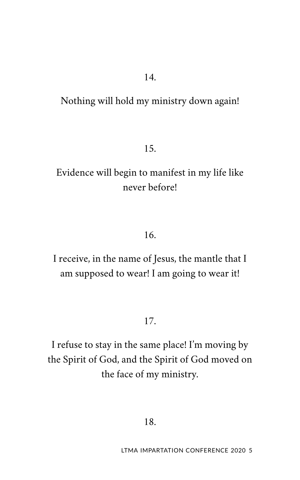### Nothing will hold my ministry down again!

15.

## Evidence will begin to manifest in my life like never before!

#### 16.

I receive, in the name of Jesus, the mantle that I am supposed to wear! I am going to wear it!

17.

I refuse to stay in the same place! I'm moving by the Spirit of God, and the Spirit of God moved on the face of my ministry.

18.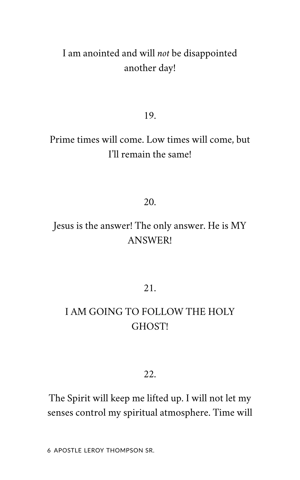## I am anointed and will *not* be disappointed another day!

19.

## Prime times will come. Low times will come, but I'll remain the same!

20.

## Jesus is the answer! The only answer. He is MY ANSWER!

21.

## I AM GOING TO FOLLOW THE HOLY GHOST!

#### 22.

The Spirit will keep me lifted up. I will not let my senses control my spiritual atmosphere. Time will

6 APOSTLE LEROY THOMPSON SR.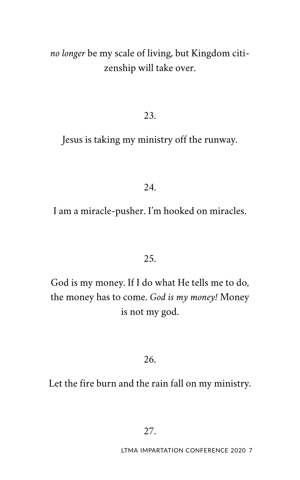### *no longer* be my scale of living, but Kingdom citizenship will take over.

#### 23.

Jesus is taking my ministry off the runway.

24.

I am a miracle-pusher. I'm hooked on miracles.

25.

God is my money. If I do what He tells me to do, the money has to come. *God is my money!* Money is not my god.

26.

Let the fire burn and the rain fall on my ministry.

27.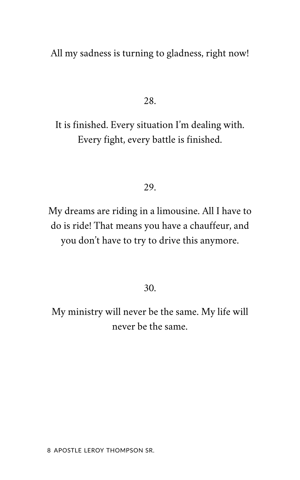All my sadness is turning to gladness, right now!

28.

It is finished. Every situation I'm dealing with. Every fight, every battle is finished.

#### 29.

My dreams are riding in a limousine. All I have to do is ride! That means you have a chauffeur, and you don't have to try to drive this anymore.

30.

My ministry will never be the same. My life will never be the same.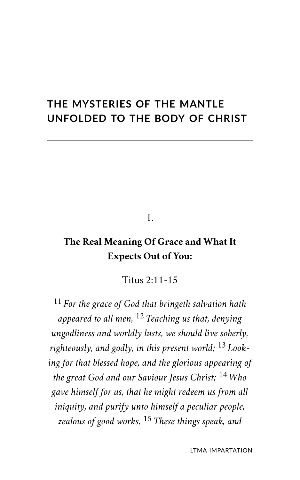## **THE MYSTERIES OF THE MANTLE UNFOLDED TO THE BODY OF CHRIST**

1.

### **The Real Meaning Of Grace and What It Expects Out of You:**

Titus 2:11-15

<sup>11</sup> *For the grace of God that bringeth salvation hath appeared to all men,* <sup>12</sup> *Teaching us that, denying ungodliness and worldly lusts, we should live soberly, righteously, and godly, in this present world;* <sup>13</sup> *Looking for that blessed hope, and the glorious appearing of the great God and our Saviour Jesus Christ;* <sup>14</sup> *Who gave himself for us, that he might redeem us from all iniquity, and purify unto himself a peculiar people, zealous of good works.* <sup>15</sup> *These things speak, and*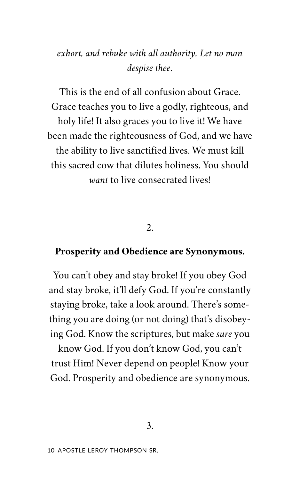### *exhort, and rebuke with all authority. Let no man despise thee*.

This is the end of all confusion about Grace. Grace teaches you to live a godly, righteous, and holy life! It also graces you to live it! We have been made the righteousness of God, and we have the ability to live sanctified lives. We must kill this sacred cow that dilutes holiness. You should *want* to live consecrated lives!

2.

#### **Prosperity and Obedience are Synonymous.**

You can't obey and stay broke! If you obey God and stay broke, it'll defy God. If you're constantly staying broke, take a look around. There's something you are doing (or not doing) that's disobeying God. Know the scriptures, but make *sure* you

know God. If you don't know God, you can't trust Him! Never depend on people! Know your God. Prosperity and obedience are synonymous.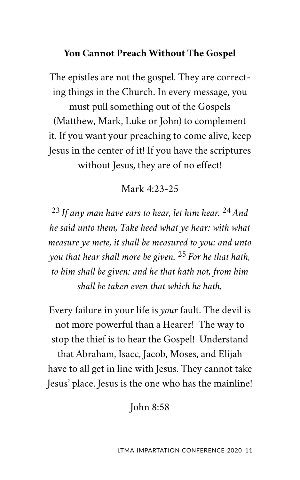### **You Cannot Preach Without The Gospel**

The epistles are not the gospel. They are correcting things in the Church. In every message, you must pull something out of the Gospels (Matthew, Mark, Luke or John) to complement it. If you want your preaching to come alive, keep Jesus in the center of it! If you have the scriptures without Jesus, they are of no effect!

### Mark 4:23-25

<sup>23</sup> *If any man have ears to hear, let him hear.*  <sup>24</sup> *And he said unto them, Take heed what ye hear: with what measure ye mete, it shall be measured to you: and unto you that hear shall more be given.* <sup>25</sup> *For he that hath, to him shall be given: and he that hath not, from him shall be taken even that which he hath.* 

Every failure in your life is *your* fault. The devil is not more powerful than a Hearer! The way to stop the thief is to hear the Gospel! Understand that Abraham, Isacc, Jacob, Moses, and Elijah have to all get in line with Jesus. They cannot take Jesus' place. Jesus is the one who has the mainline!

John 8:58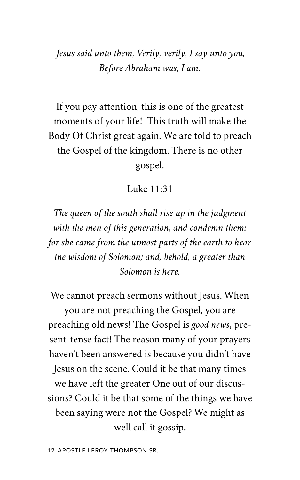*Jesus said unto them, Verily, verily, I say unto you, Before Abraham was, I am.* 

If you pay attention, this is one of the greatest moments of your life! This truth will make the Body Of Christ great again. We are told to preach the Gospel of the kingdom. There is no other gospel.

#### Luke 11:31

*The queen of the south shall rise up in the judgment with the men of this generation, and condemn them: for she came from the utmost parts of the earth to hear the wisdom of Solomon; and, behold, a greater than Solomon is here.* 

We cannot preach sermons without Jesus. When you are not preaching the Gospel, you are preaching old news! The Gospel is *good news*, present-tense fact! The reason many of your prayers haven't been answered is because you didn't have Jesus on the scene. Could it be that many times we have left the greater One out of our discussions? Could it be that some of the things we have been saying were not the Gospel? We might as well call it gossip.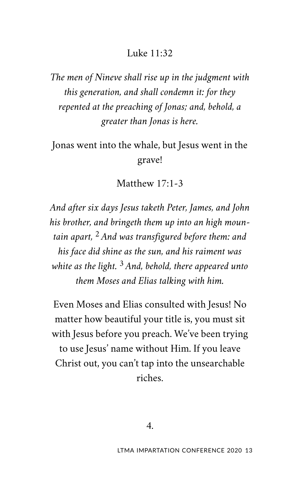### Luke 11:32

*The men of Nineve shall rise up in the judgment with this generation, and shall condemn it: for they repented at the preaching of Jonas; and, behold, a greater than Jonas is here.* 

Jonas went into the whale, but Jesus went in the grave!

Matthew 17:1-3

*And after six days Jesus taketh Peter, James, and John his brother, and bringeth them up into an high mountain apart,* <sup>2</sup> *And was transfigured before them: and his face did shine as the sun, and his raiment was white as the light.* <sup>3</sup> *And, behold, there appeared unto them Moses and Elias talking with him.* 

Even Moses and Elias consulted with Jesus! No matter how beautiful your title is, you must sit with Jesus before you preach. We've been trying to use Jesus' name without Him. If you leave Christ out, you can't tap into the unsearchable riches.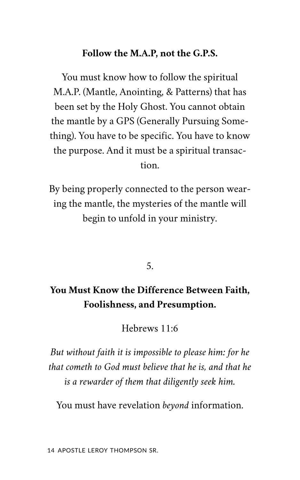#### **Follow the M.A.P, not the G.P.S.**

You must know how to follow the spiritual M.A.P. (Mantle, Anointing, & Patterns) that has been set by the Holy Ghost. You cannot obtain the mantle by a GPS (Generally Pursuing Something). You have to be specific. You have to know the purpose. And it must be a spiritual transaction.

By being properly connected to the person wearing the mantle, the mysteries of the mantle will begin to unfold in your ministry.

5.

### **You Must Know the Difference Between Faith, Foolishness, and Presumption.**

Hebrews 11:6

*But without faith it is impossible to please him: for he that cometh to God must believe that he is, and that he is a rewarder of them that diligently seek him.* 

You must have revelation *beyond* information.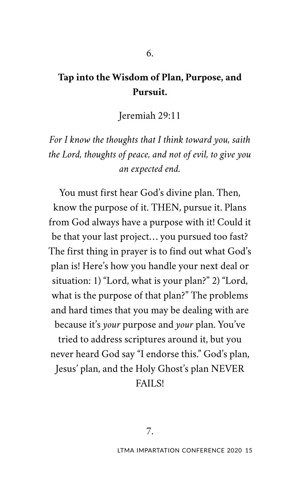### **Tap into the Wisdom of Plan, Purpose, and Pursuit.**

6.

Jeremiah 29:11

*For I know the thoughts that I think toward you, saith the Lord, thoughts of peace, and not of evil, to give you an expected end.* 

You must first hear God's divine plan. Then, know the purpose of it. THEN, pursue it. Plans from God always have a purpose with it! Could it be that your last project… you pursued too fast? The first thing in prayer is to find out what God's plan is! Here's how you handle your next deal or situation: 1) "Lord, what is your plan?" 2) "Lord, what is the purpose of that plan?" The problems and hard times that you may be dealing with are because it's *your* purpose and *your* plan. You've tried to address scriptures around it, but you never heard God say "I endorse this." God's plan, Jesus' plan, and the Holy Ghost's plan NEVER FAILS!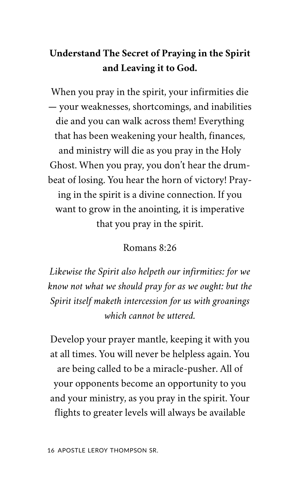## **Understand The Secret of Praying in the Spirit and Leaving it to God.**

When you pray in the spirit, your infirmities die — your weaknesses, shortcomings, and inabilities die and you can walk across them! Everything that has been weakening your health, finances, and ministry will die as you pray in the Holy Ghost. When you pray, you don't hear the drumbeat of losing. You hear the horn of victory! Praying in the spirit is a divine connection. If you want to grow in the anointing, it is imperative that you pray in the spirit.

### Romans 8:26

*Likewise the Spirit also helpeth our infirmities: for we know not what we should pray for as we ought: but the Spirit itself maketh intercession for us with groanings which cannot be uttered.* 

Develop your prayer mantle, keeping it with you at all times. You will never be helpless again. You are being called to be a miracle-pusher. All of your opponents become an opportunity to you and your ministry, as you pray in the spirit. Your flights to greater levels will always be available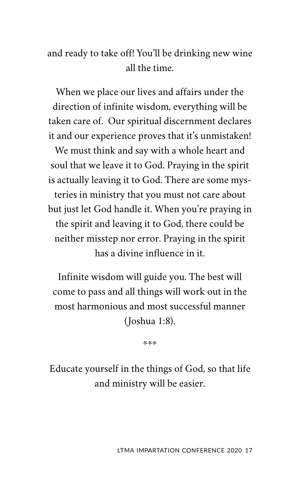### and ready to take off! You'll be drinking new wine all the time.

When we place our lives and affairs under the direction of infinite wisdom, everything will be taken care of. Our spiritual discernment declares it and our experience proves that it's unmistaken! We must think and say with a whole heart and soul that we leave it to God. Praying in the spirit is actually leaving it to God. There are some mysteries in ministry that you must not care about but just let God handle it. When you're praying in the spirit and leaving it to God, there could be neither misstep nor error. Praying in the spirit has a divine influence in it.

Infinite wisdom will guide you. The best will come to pass and all things will work out in the most harmonious and most successful manner (Joshua 1:8).

\*\*\*

Educate yourself in the things of God, so that life and ministry will be easier.